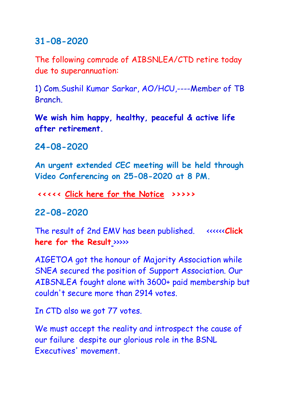### **31-08-2020**

The following comrade of AIBSNLEA/CTD retire today due to superannuation:

1) Com.Sushil Kumar Sarkar, AO/HCU,----Member of TB **Branch** 

**We wish him happy, healthy, peaceful & active life after retirement.**

## **24-08-2020**

**An urgent extended CEC meeting will be held through Video Conferencing on 25-08-2020 at 8 PM.**

**<<<<< [Click here for the Notice](http://aibsnleawb.org/NOTICE%2024082020.pdf) >>>>>**

#### **22-08-2020**

The result of 2nd EMV has been published. <<<<<<**[Click](http://aibsnleawb.org/Result%20of%202nd%20MV-20200001.pdf)  [here for the Result](http://aibsnleawb.org/Result%20of%202nd%20MV-20200001.pdf)** >>>>>

AIGETOA got the honour of Majority Association while SNEA secured the position of Support Association. Our AIBSNLEA fought alone with 3600+ paid membership but couldn't secure more than 2914 votes.

In CTD also we got 77 votes.

We must accept the reality and introspect the cause of our failure despite our glorious role in the BSNL Executives' movement.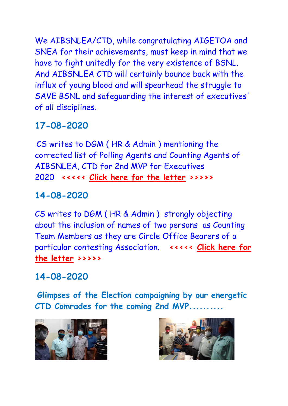We AIBSNLEA/CTD, while congratulating AIGETOA and SNEA for their achievements, must keep in mind that we have to fight unitedly for the very existence of BSNL. And AIBSNLEA CTD will certainly bounce back with the influx of young blood and will spearhead the struggle to SAVE BSNL and safeguarding the interest of executives' of all disciplines.

# **17-08-2020**

CS writes to DGM ( HR & Admin ) mentioning the corrected list of Polling Agents and Counting Agents of AIBSNLEA, CTD for 2nd MVP for Executives 2020 **<<<<< [Click here for the letter](http://aibsnleawb.org/DGM_%20170820.pdf) >>>>>**

## **14-08-2020**

CS writes to DGM ( HR & Admin ) strongly objecting about the inclusion of names of two persons as Counting Team Members as they are Circle Office Bearers of a particular contesting Association. **<<<<< [Click here for](http://aibsnleawb.org/DGM_%20140820.pdf)  [the letter](http://aibsnleawb.org/DGM_%20140820.pdf) >>>>>**

## **14-08-2020**

**Glimpses of the Election campaigning by our energetic CTD Comrades for the coming 2nd MVP..........**